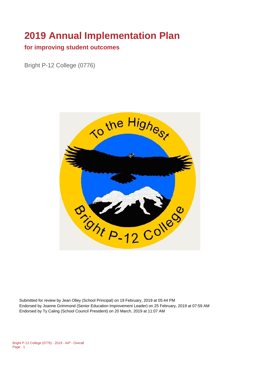# **2019 Annual Implementation Plan**

#### **for improving student outcomes**

Bright P-12 College (0776)



Submitted for review by Jean Olley (School Principal) on 19 February, 2019 at 05:44 PM Endorsed by Joanne Grimmond (Senior Education Improvement Leader) on 25 February, 2019 at 07:59 AM Endorsed by Ty Caling (School Council President) on 20 March, 2019 at 11:07 AM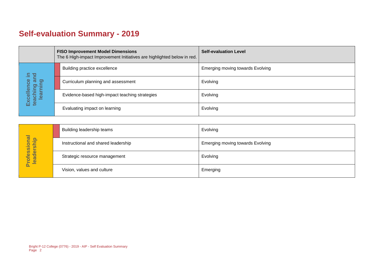## **Self-evaluation Summary - 2019**

|                                      |                  | <b>FISO Improvement Model Dimensions</b><br>The 6 High-impact Improvement Initiatives are highlighted below in red. |                                                | <b>Self-evaluation Level</b>     |
|--------------------------------------|------------------|---------------------------------------------------------------------------------------------------------------------|------------------------------------------------|----------------------------------|
|                                      | 모 크.             |                                                                                                                     | Building practice excellence                   | Emerging moving towards Evolving |
| ັສ<br>lence<br>aching ar<br>learning |                  |                                                                                                                     | Curriculum planning and assessment             | Evolving                         |
|                                      | Excell<br>teachi |                                                                                                                     | Evidence-based high-impact teaching strategies | Evolving                         |
|                                      |                  |                                                                                                                     | Evaluating impact on learning                  | Evolving                         |

|                            | Building leadership teams           | Evolving                                |
|----------------------------|-------------------------------------|-----------------------------------------|
|                            | Instructional and shared leadership | <b>Emerging moving towards Evolving</b> |
| Professional<br>leadership | Strategic resource management       | Evolving                                |
|                            | Vision, values and culture          | Emerging                                |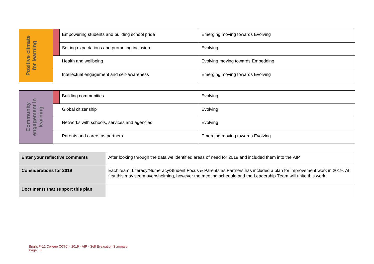|                                    | Empowering students and building school pride | <b>Emerging moving towards Evolving</b> |
|------------------------------------|-----------------------------------------------|-----------------------------------------|
| <b>Imate</b><br>pring<br>=<br>ပ    | Setting expectations and promoting inclusion  | Evolving                                |
| lear<br>$\bullet$<br>Positiv<br>io | Health and wellbeing                          | Evolving moving towards Embedding       |
|                                    | Intellectual engagement and self-awareness    | Emerging moving towards Evolving        |

|                                        |                                                                   | Empowering students and building school pride                                                                                                                                                                                         | $\mathsf{m}$ erreiging moving towards $\mathsf{m}$ conving |  |
|----------------------------------------|-------------------------------------------------------------------|---------------------------------------------------------------------------------------------------------------------------------------------------------------------------------------------------------------------------------------|------------------------------------------------------------|--|
| Positive climate<br>for learning       |                                                                   | Setting expectations and promoting inclusion                                                                                                                                                                                          | Evolving                                                   |  |
|                                        | Health and wellbeing                                              |                                                                                                                                                                                                                                       | Evolving moving towards Embedding                          |  |
|                                        |                                                                   | Intellectual engagement and self-awareness                                                                                                                                                                                            | <b>Emerging moving towards Evolving</b>                    |  |
|                                        |                                                                   |                                                                                                                                                                                                                                       |                                                            |  |
|                                        | <b>Building communities</b>                                       |                                                                                                                                                                                                                                       | Evolving                                                   |  |
|                                        | Global citizenship                                                |                                                                                                                                                                                                                                       | Evolving                                                   |  |
| engagement in<br>Community<br>learning |                                                                   | Networks with schools, services and agencies                                                                                                                                                                                          | Evolving                                                   |  |
|                                        | Parents and carers as partners                                    |                                                                                                                                                                                                                                       | Emerging moving towards Evolving                           |  |
|                                        |                                                                   |                                                                                                                                                                                                                                       |                                                            |  |
|                                        | Enter your reflective comments                                    | After looking through the data we identified areas of need for 2019 and included them into the AIP                                                                                                                                    |                                                            |  |
| <b>Considerations for 2019</b>         |                                                                   | Each team: Literacy/Numeracy/Student Focus & Parents as Partners has included a plan for improvement work in 2019. At<br>first this may seem overwhelming, however the meeting schedule and the Leadership Team will unite this work. |                                                            |  |
|                                        | Documents that support this plan                                  |                                                                                                                                                                                                                                       |                                                            |  |
|                                        |                                                                   |                                                                                                                                                                                                                                       |                                                            |  |
|                                        |                                                                   |                                                                                                                                                                                                                                       |                                                            |  |
|                                        |                                                                   |                                                                                                                                                                                                                                       |                                                            |  |
|                                        |                                                                   |                                                                                                                                                                                                                                       |                                                            |  |
| Page 3                                 | Bright P-12 College (0776) - 2019 - AIP - Self Evaluation Summary |                                                                                                                                                                                                                                       |                                                            |  |

| <b>Enter your reflective comments</b> | After looking through the data we identified areas of need for 2019 and included them into the AIP                                                                                                                                    |  |
|---------------------------------------|---------------------------------------------------------------------------------------------------------------------------------------------------------------------------------------------------------------------------------------|--|
| <b>Considerations for 2019</b>        | Each team: Literacy/Numeracy/Student Focus & Parents as Partners has included a plan for improvement work in 2019. At<br>first this may seem overwhelming, however the meeting schedule and the Leadership Team will unite this work. |  |
| Documents that support this plan      |                                                                                                                                                                                                                                       |  |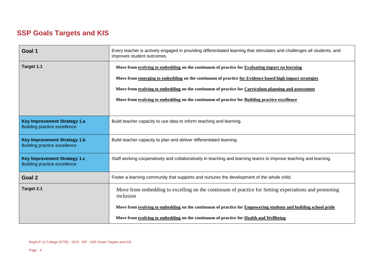### **SSP Goals Targets and KIS**

| Goal 1                                                                     | Every teacher is actively engaged in providing differentiated learning that stimulates and challenges all students, and<br>improves student outcomes. |
|----------------------------------------------------------------------------|-------------------------------------------------------------------------------------------------------------------------------------------------------|
| Target 1.1                                                                 | Move from evolving to embedding on the continuum of practice for Evaluating impact on learning                                                        |
|                                                                            | Move from emerging to embedding on the continuum of practice for Evidence based high impact strategies                                                |
|                                                                            | Move from evolving to embedding on the continuum of practice for Curriculum planning and assessment                                                   |
|                                                                            | Move from evolving to embedding on the continuum of practice for Building practice excellence                                                         |
|                                                                            |                                                                                                                                                       |
| <b>Key Improvement Strategy 1.a</b><br><b>Building practice excellence</b> | Build teacher capacity to use data to inform teaching and learning.                                                                                   |
| <b>Key Improvement Strategy 1.b</b><br><b>Building practice excellence</b> | Build teacher capacity to plan and deliver differentiated learning.                                                                                   |
| <b>Key Improvement Strategy 1.c</b><br><b>Building practice excellence</b> | Staff working cooperatively and collaboratively in teaching and learning teams to improve teaching and learning.                                      |
| Goal 2                                                                     | Foster a learning community that supports and nurtures the development of the whole child.                                                            |
| Target 2.1                                                                 | Move from embedding to excelling on the continuum of practice for Setting expectations and promoting<br>inclusion                                     |
|                                                                            | Move from evolving to embedding on the continuum of practice for Empowering students and building school pride                                        |
|                                                                            | Move from evolving to embedding on the continuum of practice for Health and Wellbeing                                                                 |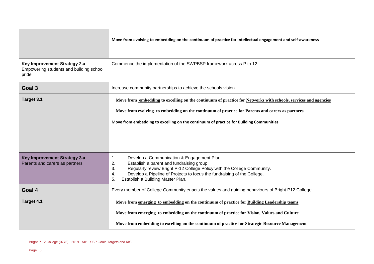|                                                                                  | Move from evolving to embedding on the continuum of practice for Intellectual engagement and self-awareness                                                                                                                                                                                                      |
|----------------------------------------------------------------------------------|------------------------------------------------------------------------------------------------------------------------------------------------------------------------------------------------------------------------------------------------------------------------------------------------------------------|
| Key Improvement Strategy 2.a<br>Empowering students and building school<br>pride | Commence the implementation of the SWPBSP framework across P to 12                                                                                                                                                                                                                                               |
| Goal 3                                                                           | Increase community partnerships to achieve the schools vision.                                                                                                                                                                                                                                                   |
| Target 3.1                                                                       | Move from embedding to excelling on the continuum of practice for Networks with schools, services and agencies                                                                                                                                                                                                   |
|                                                                                  | Move from evolving to embedding on the continuum of practice for Parents and carers as partners                                                                                                                                                                                                                  |
|                                                                                  | Move from embedding to excelling on the continuum of practice for Building Communities                                                                                                                                                                                                                           |
|                                                                                  |                                                                                                                                                                                                                                                                                                                  |
| Key Improvement Strategy 3.a<br>Parents and carers as partners                   | Develop a Communication & Engagement Plan.<br>1.<br>2.<br>Establish a parent and fundraising group.<br>3.<br>Regularly review Bright P-12 College Policy with the College Community.<br>Develop a Pipeline of Projects to focus the fundraising of the College.<br>4.<br>5.<br>Establish a Building Master Plan. |
| Goal 4                                                                           | Every member of College Community enacts the values and guiding behaviours of Bright P12 College.                                                                                                                                                                                                                |
| Target 4.1                                                                       | Move from emerging to embedding on the continuum of practice for Building Leadership teams                                                                                                                                                                                                                       |
|                                                                                  | Move from emerging to embedding on the continuum of practice for Vision, Values and Culture                                                                                                                                                                                                                      |
|                                                                                  | Move from embedding to excelling on the continuum of practice for Strategic Resource Management                                                                                                                                                                                                                  |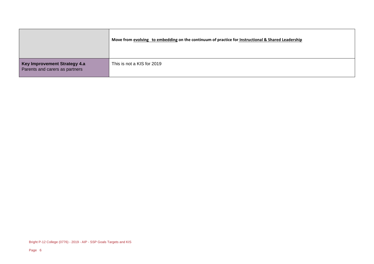|                                                                | Move from evolving to embedding on the continuum of practice for Instructional & Shared Leadership |
|----------------------------------------------------------------|----------------------------------------------------------------------------------------------------|
| Key Improvement Strategy 4.a<br>Parents and carers as partners | This is not a KIS for 2019                                                                         |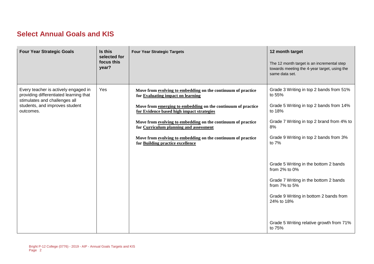#### **Select Annual Goals and KIS**

| <b>Four Year Strategic Goals</b>                                                                                                                               | Is this<br>selected for<br>focus this<br>year? | <b>Four Year Strategic Targets</b>                                                                                                                                                                                                                                                                                                                                                                                           | 12 month target<br>The 12 month target is an incremental step<br>towards meeting the 4-year target, using the<br>same data set.                                                                                                                                                                                                                                                                                                                |
|----------------------------------------------------------------------------------------------------------------------------------------------------------------|------------------------------------------------|------------------------------------------------------------------------------------------------------------------------------------------------------------------------------------------------------------------------------------------------------------------------------------------------------------------------------------------------------------------------------------------------------------------------------|------------------------------------------------------------------------------------------------------------------------------------------------------------------------------------------------------------------------------------------------------------------------------------------------------------------------------------------------------------------------------------------------------------------------------------------------|
| Every teacher is actively engaged in<br>providing differentiated learning that<br>stimulates and challenges all<br>students, and improves student<br>outcomes. | Yes                                            | Move from evolving to embedding on the continuum of practice<br>for Evaluating impact on learning<br>Move from emerging to embedding on the continuum of practice<br>for Evidence based high impact strategies<br>Move from evolving to embedding on the continuum of practice<br>for Curriculum planning and assessment<br>Move from evolving to embedding on the continuum of practice<br>for Building practice excellence | Grade 3 Writing in top 2 bands from 51%<br>to 55%<br>Grade 5 Writing in top 2 bands from 14%<br>to 18%<br>Grade 7 Writing in top 2 brand from 4% to<br>8%<br>Grade 9 Writing in top 2 bands from 3%<br>to 7%<br>Grade 5 Writing in the bottom 2 bands<br>from 2% to 0%<br>Grade 7 Writing in the bottom 2 bands<br>from 7% to 5%<br>Grade 9 Writing in bottom 2 bands from<br>24% to 18%<br>Grade 5 Writing relative growth from 71%<br>to 75% |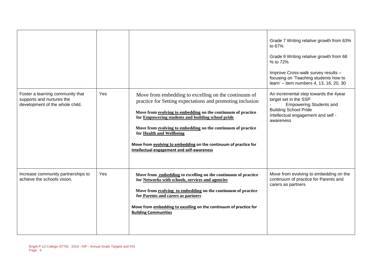| Foster a learning community that<br>supports and nurtures the<br>development of the whole child. | Yes | Move from embedding to excelling on the continuum of<br>practice for Setting expectations and promoting inclusion<br>Move from evolving to embedding on the continuum of practice<br>for Empowering students and building school pride<br>Move from evolving to embedding on the continuum of practice<br>for Health and Wellbeing<br>Move from evolving to embedding on the continuum of practice for<br>Intellectual engagement and self-awareness | Grade 7 Writing relative growth from 63%<br>to 67%<br>Grade 9 Writing relative growth from 68<br>% to 72%<br>Improve Cross-walk survey results -<br>focusing on 'Teaching students how to<br>learn' - item numbers 4, 13, 16, 20, 30<br>An incremental step towards the 4year<br>target set in the SSP<br><b>Empowering Students and</b><br><b>Building School Pride</b><br>Intellectual engagement and self -<br>awareness |
|--------------------------------------------------------------------------------------------------|-----|------------------------------------------------------------------------------------------------------------------------------------------------------------------------------------------------------------------------------------------------------------------------------------------------------------------------------------------------------------------------------------------------------------------------------------------------------|-----------------------------------------------------------------------------------------------------------------------------------------------------------------------------------------------------------------------------------------------------------------------------------------------------------------------------------------------------------------------------------------------------------------------------|
| Increase community partnerships to<br>achieve the schools vision.                                | Yes | Move from embedding to excelling on the continuum of practice<br>for Networks with schools, services and agencies<br>Move from evolving to embedding on the continuum of practice<br>for Parents and carers as partners<br>Move from embedding to excelling on the continuum of practice for<br><b>Building Communities</b>                                                                                                                          | Move from evolving to embedding on the<br>continuum of practice for Parents and<br>carers as partners                                                                                                                                                                                                                                                                                                                       |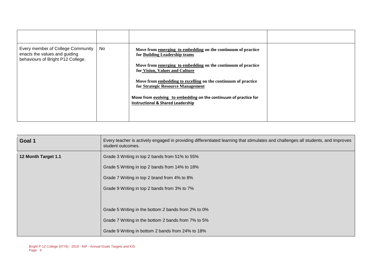| Every member of College Community<br>enacts the values and guiding<br>behaviours of Bright P12 College. | No | Move from emerging to embedding on the continuum of practice<br>for Building Leadership teams<br>Move from emerging to embedding on the continuum of practice<br>for Vision, Values and Culture<br>Move from embedding to excelling on the continuum of practice<br>for Strategic Resource Management<br>Move from evolving to embedding on the continuum of practice for<br><b>Instructional &amp; Shared Leadership</b> |  |
|---------------------------------------------------------------------------------------------------------|----|---------------------------------------------------------------------------------------------------------------------------------------------------------------------------------------------------------------------------------------------------------------------------------------------------------------------------------------------------------------------------------------------------------------------------|--|
|                                                                                                         |    |                                                                                                                                                                                                                                                                                                                                                                                                                           |  |

| Goal 1              | Every teacher is actively engaged in providing differentiated learning that stimulates and challenges all students, and improves<br>student outcomes. |
|---------------------|-------------------------------------------------------------------------------------------------------------------------------------------------------|
| 12 Month Target 1.1 | Grade 3 Writing in top 2 bands from 51% to 55%                                                                                                        |
|                     | Grade 5 Writing in top 2 bands from 14% to 18%                                                                                                        |
|                     | Grade 7 Writing in top 2 brand from 4% to 8%                                                                                                          |
|                     | Grade 9 Writing in top 2 bands from 3% to 7%                                                                                                          |
|                     |                                                                                                                                                       |
|                     | Grade 5 Writing in the bottom 2 bands from 2% to 0%                                                                                                   |
|                     | Grade 7 Writing in the bottom 2 bands from 7% to 5%                                                                                                   |
|                     | Grade 9 Writing in bottom 2 bands from 24% to 18%                                                                                                     |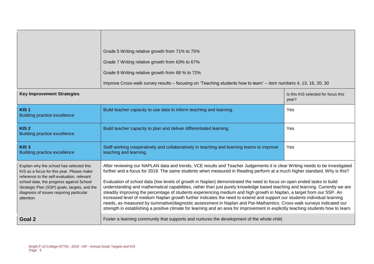|                                                                                                                                                                                                                                                                                           | Grade 5 Writing relative growth from 71% to 75%<br>Grade 7 Writing relative growth from 63% to 67%<br>Grade 9 Writing relative growth from 68 % to 72%<br>Improve Cross-walk survey results – focusing on 'Teaching students how to learn' – item numbers 4, 13, 16, 20, 30                                                                                                                                                                                                                                                                                                                                                                                                                                                                                                                                                                                                                                                                                                                                                            |                                              |  |  |
|-------------------------------------------------------------------------------------------------------------------------------------------------------------------------------------------------------------------------------------------------------------------------------------------|----------------------------------------------------------------------------------------------------------------------------------------------------------------------------------------------------------------------------------------------------------------------------------------------------------------------------------------------------------------------------------------------------------------------------------------------------------------------------------------------------------------------------------------------------------------------------------------------------------------------------------------------------------------------------------------------------------------------------------------------------------------------------------------------------------------------------------------------------------------------------------------------------------------------------------------------------------------------------------------------------------------------------------------|----------------------------------------------|--|--|
| <b>Key Improvement Strategies</b>                                                                                                                                                                                                                                                         |                                                                                                                                                                                                                                                                                                                                                                                                                                                                                                                                                                                                                                                                                                                                                                                                                                                                                                                                                                                                                                        | Is this KIS selected for focus this<br>year? |  |  |
| KIS <sub>1</sub><br><b>Building practice excellence</b>                                                                                                                                                                                                                                   | Build teacher capacity to use data to inform teaching and learning.                                                                                                                                                                                                                                                                                                                                                                                                                                                                                                                                                                                                                                                                                                                                                                                                                                                                                                                                                                    | Yes                                          |  |  |
| KIS <sub>2</sub><br><b>Building practice excellence</b>                                                                                                                                                                                                                                   | Build teacher capacity to plan and deliver differentiated learning.                                                                                                                                                                                                                                                                                                                                                                                                                                                                                                                                                                                                                                                                                                                                                                                                                                                                                                                                                                    | Yes                                          |  |  |
| KIS <sub>3</sub><br><b>Building practice excellence</b>                                                                                                                                                                                                                                   | Staff working cooperatively and collaboratively in teaching and learning teams to improve<br>teaching and learning.                                                                                                                                                                                                                                                                                                                                                                                                                                                                                                                                                                                                                                                                                                                                                                                                                                                                                                                    | Yes                                          |  |  |
| Explain why the school has selected this<br>KIS as a focus for this year. Please make<br>reference to the self-evaluation, relevant<br>school data, the progress against School<br>Strategic Plan (SSP) goals, targets, and the<br>diagnosis of issues requiring particular<br>attention. | After reviewing our NAPLAN data and trends, VCE results and Teacher Judgements it is clear Writing needs to be investigated<br>further and a focus for 2019. The same students when measured in Reading perform at a much higher standard. Why is this?<br>Evaluation of school data (low levels of growth in Naplan) demonstrated the need to focus on open ended tasks to build<br>understanding and mathematical capabilities, rather than just purely knowledge based teaching and learning. Currently we are<br>steadily improving the percentage of students experiencing medium and high growth in Naplan, a target from our SSP. An<br>increased level of medium Naplan growth further indicates the need to extend and support our students individual learning<br>needs, as measured by summative/diagnostic assessment in Naplan and Pat-Mathamtics. Cross-walk surveys indicated our<br>strength in establishing a positive climate for learning and an area for improvement in explicitly teaching students how to learn. |                                              |  |  |
| Goal 2                                                                                                                                                                                                                                                                                    | Foster a learning community that supports and nurtures the development of the whole child.                                                                                                                                                                                                                                                                                                                                                                                                                                                                                                                                                                                                                                                                                                                                                                                                                                                                                                                                             |                                              |  |  |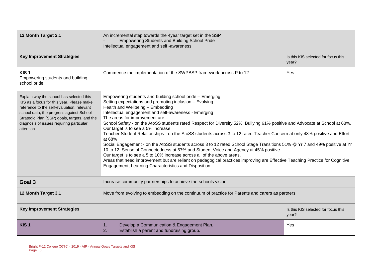| 12 Month Target 2.1                                                                                                                                                                                                                                                                       | An incremental step towards the 4year target set in the SSP<br><b>Empowering Students and Building School Pride</b><br>Intellectual engagement and self-awareness                                                                                                                                                                                                                                                                                                                                                                                                                                                                                                                                                                                                                                                                                                                                                                                                                                                                                          |                                              |  |  |
|-------------------------------------------------------------------------------------------------------------------------------------------------------------------------------------------------------------------------------------------------------------------------------------------|------------------------------------------------------------------------------------------------------------------------------------------------------------------------------------------------------------------------------------------------------------------------------------------------------------------------------------------------------------------------------------------------------------------------------------------------------------------------------------------------------------------------------------------------------------------------------------------------------------------------------------------------------------------------------------------------------------------------------------------------------------------------------------------------------------------------------------------------------------------------------------------------------------------------------------------------------------------------------------------------------------------------------------------------------------|----------------------------------------------|--|--|
| <b>Key Improvement Strategies</b>                                                                                                                                                                                                                                                         |                                                                                                                                                                                                                                                                                                                                                                                                                                                                                                                                                                                                                                                                                                                                                                                                                                                                                                                                                                                                                                                            | Is this KIS selected for focus this<br>year? |  |  |
| KIS <sub>1</sub><br>Empowering students and building<br>school pride                                                                                                                                                                                                                      | Commence the implementation of the SWPBSP framework across P to 12                                                                                                                                                                                                                                                                                                                                                                                                                                                                                                                                                                                                                                                                                                                                                                                                                                                                                                                                                                                         | Yes                                          |  |  |
| Explain why the school has selected this<br>KIS as a focus for this year. Please make<br>reference to the self-evaluation, relevant<br>school data, the progress against School<br>Strategic Plan (SSP) goals, targets, and the<br>diagnosis of issues requiring particular<br>attention. | Empowering students and building school pride - Emerging<br>Setting expectations and promoting inclusion - Evolving<br>Health and Wellbeing - Embedding<br>Intellectual engagement and self-awareness - Emerging<br>The areas for improvement are -<br>School Safety - on the AtoSS students rated Respect for Diversity 52%, Bullying 61% positive and Advocate at School at 68%.<br>Our target is to see a 5% increase<br>Teacher Student Relationships - on the AtoSS students across 3 to 12 rated Teacher Concern at only 48% positive and Effort<br>at 68%<br>Social Engagement - on the AtoSS students across 3 to 12 rated School Stage Transitions 51% @ Yr 7 and 49% positive at Yr<br>10 to 12, Sense of Connectedness at 57% and Student Voice and Agency at 45% positive.<br>Our target is to see a 5 to 10% increase across all of the above areas.<br>Areas that need improvement but are reliant on pedagogical practices improving are Effective Teaching Practice for Cognitive<br>Engagement, Learning Characteristics and Disposition. |                                              |  |  |
| Goal 3                                                                                                                                                                                                                                                                                    | Increase community partnerships to achieve the schools vision.                                                                                                                                                                                                                                                                                                                                                                                                                                                                                                                                                                                                                                                                                                                                                                                                                                                                                                                                                                                             |                                              |  |  |
| 12 Month Target 3.1                                                                                                                                                                                                                                                                       | Move from evolving to embedding on the continuum of practice for Parents and carers as partners                                                                                                                                                                                                                                                                                                                                                                                                                                                                                                                                                                                                                                                                                                                                                                                                                                                                                                                                                            |                                              |  |  |
| <b>Key Improvement Strategies</b>                                                                                                                                                                                                                                                         |                                                                                                                                                                                                                                                                                                                                                                                                                                                                                                                                                                                                                                                                                                                                                                                                                                                                                                                                                                                                                                                            | Is this KIS selected for focus this<br>year? |  |  |
| KIS <sub>1</sub>                                                                                                                                                                                                                                                                          | Develop a Communication & Engagement Plan.<br>1.<br>2.<br>Establish a parent and fundraising group.                                                                                                                                                                                                                                                                                                                                                                                                                                                                                                                                                                                                                                                                                                                                                                                                                                                                                                                                                        | Yes                                          |  |  |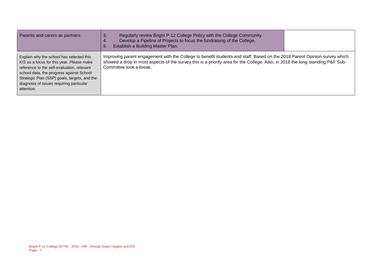| Parents and carers as partners                                                                                                                                                                                                                                                            | Regularly review Bright P-12 College Policy with the College Community.<br>3.<br>Develop a Pipeline of Projects to focus the fundraising of the College.<br>Establish a Building Master Plan.<br>5.                                                                                   |  |
|-------------------------------------------------------------------------------------------------------------------------------------------------------------------------------------------------------------------------------------------------------------------------------------------|---------------------------------------------------------------------------------------------------------------------------------------------------------------------------------------------------------------------------------------------------------------------------------------|--|
| Explain why the school has selected this<br>KIS as a focus for this year. Please make<br>reference to the self-evaluation, relevant<br>school data, the progress against School<br>Strategic Plan (SSP) goals, targets, and the<br>diagnosis of issues requiring particular<br>attention. | Improving parent engagement with the College to benefit students and staff. Based on the 2018 Parent Opinion survey which<br>showed a drop in most aspects of the survey this is a priority area for the College. Also, in 2018 the long-standing P&F Sub-<br>Committee took a break. |  |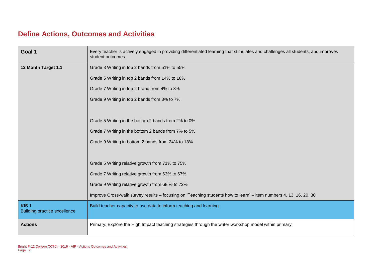#### **Define Actions, Outcomes and Activities**

| Goal 1                                                  | Every teacher is actively engaged in providing differentiated learning that stimulates and challenges all students, and improves<br>student outcomes. |
|---------------------------------------------------------|-------------------------------------------------------------------------------------------------------------------------------------------------------|
| 12 Month Target 1.1                                     | Grade 3 Writing in top 2 bands from 51% to 55%                                                                                                        |
|                                                         | Grade 5 Writing in top 2 bands from 14% to 18%                                                                                                        |
|                                                         | Grade 7 Writing in top 2 brand from 4% to 8%                                                                                                          |
|                                                         | Grade 9 Writing in top 2 bands from 3% to 7%                                                                                                          |
|                                                         |                                                                                                                                                       |
|                                                         | Grade 5 Writing in the bottom 2 bands from 2% to 0%                                                                                                   |
|                                                         | Grade 7 Writing in the bottom 2 bands from 7% to 5%                                                                                                   |
|                                                         | Grade 9 Writing in bottom 2 bands from 24% to 18%                                                                                                     |
|                                                         |                                                                                                                                                       |
|                                                         | Grade 5 Writing relative growth from 71% to 75%                                                                                                       |
|                                                         | Grade 7 Writing relative growth from 63% to 67%                                                                                                       |
|                                                         | Grade 9 Writing relative growth from 68 % to 72%                                                                                                      |
|                                                         | Improve Cross-walk survey results – focusing on 'Teaching students how to learn' – item numbers 4, 13, 16, 20, 30                                     |
| KIS <sub>1</sub><br><b>Building practice excellence</b> | Build teacher capacity to use data to inform teaching and learning.                                                                                   |
| <b>Actions</b>                                          | Primary: Explore the High Impact teaching strategies through the writer workshop model within primary.                                                |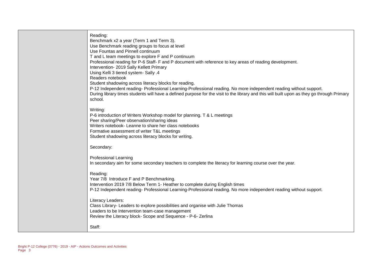| Reading:<br>Benchmark x2 a year (Term 1 and Term 3).<br>Use Benchmark reading groups to focus at level<br>Use Fountas and Pinnell continuum<br>T and L team meetings to explore F and P continuum<br>Professional reading for P-6 Staff- F and P document with reference to key areas of reading development.<br>Intervention- 2019 Sally Kellett Primary<br>Using Kelli 3 tiered system- Sally .4<br>Readers notebook<br>Student shadowing across literacy blocks for reading.<br>P-12 Independent reading-Professional Learning-Professional reading. No more independent reading without support.<br>During library times students will have a defined purpose for the visit to the library and this will built upon as they go through Primary<br>school. |
|---------------------------------------------------------------------------------------------------------------------------------------------------------------------------------------------------------------------------------------------------------------------------------------------------------------------------------------------------------------------------------------------------------------------------------------------------------------------------------------------------------------------------------------------------------------------------------------------------------------------------------------------------------------------------------------------------------------------------------------------------------------|
| Writing:<br>P-6 introduction of Writers Workshop model for planning. T & L meetings<br>Peer sharing/Peer observation/sharing ideas<br>Writers notebook- Leanne to share her class notebooks<br>Formative assessment of writer T&L meetings<br>Student shadowing across literacy blocks for writing.                                                                                                                                                                                                                                                                                                                                                                                                                                                           |
| Secondary:                                                                                                                                                                                                                                                                                                                                                                                                                                                                                                                                                                                                                                                                                                                                                    |
| <b>Professional Learning</b><br>In secondary aim for some secondary teachers to complete the literacy for learning course over the year.                                                                                                                                                                                                                                                                                                                                                                                                                                                                                                                                                                                                                      |
| Reading:<br>Year 7/8 Introduce F and P Benchmarking.<br>Intervention 2019 7/8 Below Term 1- Heather to complete during English times<br>P-12 Independent reading-Professional Learning-Professional reading. No more independent reading without support.                                                                                                                                                                                                                                                                                                                                                                                                                                                                                                     |
| Literacy Leaders:<br>Class Library- Leaders to explore possibilities and organise with Julie Thomas<br>Leaders to be Intervention team-case management<br>Review the Literacy block- Scope and Sequence - P-6- Zerlina                                                                                                                                                                                                                                                                                                                                                                                                                                                                                                                                        |
| Staff:                                                                                                                                                                                                                                                                                                                                                                                                                                                                                                                                                                                                                                                                                                                                                        |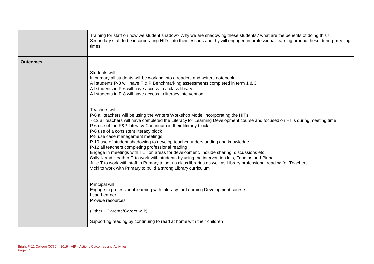|                 | Training for staff on how we student shadow? Why we are shadowing these students? what are the benefits of doing this?<br>Secondary staff to be incorporating HITs into their lessons and thy will engaged in professional learning around these during meeting<br>times.                                                                                                                                                                                                                                                                                                                                                                                                                                                                                                                                                                                                                                     |
|-----------------|---------------------------------------------------------------------------------------------------------------------------------------------------------------------------------------------------------------------------------------------------------------------------------------------------------------------------------------------------------------------------------------------------------------------------------------------------------------------------------------------------------------------------------------------------------------------------------------------------------------------------------------------------------------------------------------------------------------------------------------------------------------------------------------------------------------------------------------------------------------------------------------------------------------|
| <b>Outcomes</b> |                                                                                                                                                                                                                                                                                                                                                                                                                                                                                                                                                                                                                                                                                                                                                                                                                                                                                                               |
|                 | Students will:<br>In primary all students will be working into a readers and writers notebook<br>All students P-8 will have F & P Benchmarking assessments completed in term 1 & 3<br>All students in P-6 will have access to a class library<br>All students in P-8 will have access to literacy intervention                                                                                                                                                                                                                                                                                                                                                                                                                                                                                                                                                                                                |
|                 | Teachers will:<br>P-6 all teachers will be using the Writers Workshop Model incorporating the HITs<br>7-12 all teachers will have completed the Literacy for Learning Development course and focused on HITs during meeting time<br>P-6 use of the F&P Literacy Continuum in their literacy block<br>P-6 use of a consistent literacy block<br>P-8 use case management meetings<br>P-10 use of student shadowing to develop teacher understanding and knowledge<br>P-12 all teachers completing professional reading<br>Engage in meetings with TLT on areas for development. Include sharing, discussions etc<br>Sally K and Heather R to work with students by using the intervention kits, Fountas and Pinnell<br>Julie T to work with staff in Primary to set up class libraries as well as Library professional reading for Teachers.<br>Vicki to work with Primary to build a strong Library curriculum |
|                 | Principal will:<br>Engage in professional learning with Literacy for Learning Development course<br>Lead Learner<br>Provide resources                                                                                                                                                                                                                                                                                                                                                                                                                                                                                                                                                                                                                                                                                                                                                                         |
|                 | (Other - Parents/Carers will:)                                                                                                                                                                                                                                                                                                                                                                                                                                                                                                                                                                                                                                                                                                                                                                                                                                                                                |
|                 | Supporting reading by continuing to read at home with their children                                                                                                                                                                                                                                                                                                                                                                                                                                                                                                                                                                                                                                                                                                                                                                                                                                          |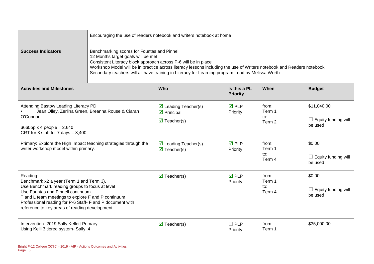|                                                                                                                                                                                                                                                                                                                  | Encouraging the use of readers notebook and writers notebook at home                                                                                                                                                                                                                                                                                                              |                                                                                                         |                                 |                                  |                                                      |
|------------------------------------------------------------------------------------------------------------------------------------------------------------------------------------------------------------------------------------------------------------------------------------------------------------------|-----------------------------------------------------------------------------------------------------------------------------------------------------------------------------------------------------------------------------------------------------------------------------------------------------------------------------------------------------------------------------------|---------------------------------------------------------------------------------------------------------|---------------------------------|----------------------------------|------------------------------------------------------|
| <b>Success Indicators</b>                                                                                                                                                                                                                                                                                        | Benchmarking scores for Fountas and Pinnell<br>12 Months target goals will be met<br>Consistent Literacy block approach across P-6 will be in place<br>Workshop Model will be in practice across literacy lessons including the use of Writers notebook and Readers notebook<br>Secondary teachers will all have training in Literacy for Learning program Lead by Melissa Worth. |                                                                                                         |                                 |                                  |                                                      |
| <b>Activities and Milestones</b>                                                                                                                                                                                                                                                                                 |                                                                                                                                                                                                                                                                                                                                                                                   | <b>Who</b>                                                                                              | Is this a PL<br><b>Priority</b> | When                             | <b>Budget</b>                                        |
| Attending Bastow Leading Literacy PD<br>O'Connor<br>$$660$ pp x 4 people = 2,640<br>CRT for 3 staff for 7 days = $8,400$                                                                                                                                                                                         | Jean Olley, Zerlina Green, Breanna Rouse & Ciaran                                                                                                                                                                                                                                                                                                                                 | $\triangleright$ Leading Teacher(s)<br>$\triangleright$ Principal<br>$\overline{\mathbf{M}}$ Teacher(s) | $\overline{M}$ PLP<br>Priority  | from:<br>Term 1<br>to:<br>Term 2 | \$11,040.00<br>$\Box$ Equity funding will<br>be used |
| Primary: Explore the High Impact teaching strategies through the<br>writer workshop model within primary.                                                                                                                                                                                                        |                                                                                                                                                                                                                                                                                                                                                                                   | $\triangleright$ Leading Teacher(s)<br>$\triangledown$ Teacher(s)                                       | $\overline{M}$ PLP<br>Priority  | from:<br>Term 1<br>to:<br>Term 4 | \$0.00<br>$\Box$ Equity funding will<br>be used      |
| Reading:<br>Benchmark x2 a year (Term 1 and Term 3).<br>Use Benchmark reading groups to focus at level<br>Use Fountas and Pinnell continuum<br>T and L team meetings to explore F and P continuum<br>Professional reading for P-6 Staff- F and P document with<br>reference to key areas of reading development. |                                                                                                                                                                                                                                                                                                                                                                                   | $\overline{\mathbf{M}}$ Teacher(s)                                                                      | $\overline{M}$ PLP<br>Priority  | from:<br>Term 1<br>to:<br>Term 4 | \$0.00<br>Equity funding will<br>┚<br>be used        |
| Intervention- 2019 Sally Kellett Primary<br>Using Kelli 3 tiered system- Sally .4                                                                                                                                                                                                                                |                                                                                                                                                                                                                                                                                                                                                                                   | $\overline{\mathbf{M}}$ Teacher(s)                                                                      | $\Box$ PLP<br>Priority          | from:<br>Term 1                  | \$35,000.00                                          |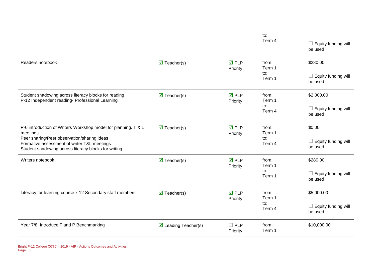|                                                                                                                                                                                                                                   |                                     |                                | to:<br>Term 4                               | $\Box$ Equity funding will<br>be used                                    |
|-----------------------------------------------------------------------------------------------------------------------------------------------------------------------------------------------------------------------------------|-------------------------------------|--------------------------------|---------------------------------------------|--------------------------------------------------------------------------|
| Readers notebook                                                                                                                                                                                                                  | $\overline{\mathbf{M}}$ Teacher(s)  | $\overline{M}$ PLP<br>Priority | from:<br>Term 1<br>$\mathsf{to}:$<br>Term 1 | \$280.00<br>$\Box$ Equity funding will<br>be used                        |
| Student shadowing across literacy blocks for reading.<br>P-12 Independent reading- Professional Learning                                                                                                                          | $\overline{\mathbf{M}}$ Teacher(s)  | $\overline{M}$ PLP<br>Priority | from:<br>Term 1<br>to:<br>Term 4            | \$2,000.00<br>Equity funding will<br>$\Box$<br>be used                   |
| P-6 introduction of Writers Workshop model for planning. T & L<br>meetings<br>Peer sharing/Peer observation/sharing ideas<br>Formative assessment of writer T&L meetings<br>Student shadowing across literacy blocks for writing. | $\overline{\mathbf{M}}$ Teacher(s)  | $\overline{M}$ PLP<br>Priority | from:<br>Term 1<br>to:<br>Term 4            | \$0.00<br>Equity funding will<br>be used                                 |
| Writers notebook                                                                                                                                                                                                                  | $\overline{\mathbf{M}}$ Teacher(s)  | $\overline{M}$ PLP<br>Priority | from:<br>Term 1<br>to:<br>Term 1            | \$280.00<br>Equity funding will<br>be used                               |
| Literacy for learning course x 12 Secondary staff members                                                                                                                                                                         | $\overline{\mathbf{M}}$ Teacher(s)  | $\overline{M}$ PLP<br>Priority | from:<br>Term 1<br>to:<br>Term 4            | \$5,000.00<br>Equity funding will<br>$\overline{\phantom{a}}$<br>be used |
| Year 7/8 Introduce F and P Benchmarking                                                                                                                                                                                           | $\triangleright$ Leading Teacher(s) | $\square$ PLP<br>Priority      | from:<br>Term 1                             | \$10,000.00                                                              |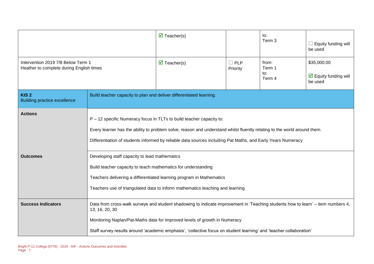|                                                                                |                                                                                                                                                                                                                                                                                                                                                         | $\triangledown$ Teacher(s)         |                           | to:<br>Term 3                    | Equity funding will<br>be used                                        |
|--------------------------------------------------------------------------------|---------------------------------------------------------------------------------------------------------------------------------------------------------------------------------------------------------------------------------------------------------------------------------------------------------------------------------------------------------|------------------------------------|---------------------------|----------------------------------|-----------------------------------------------------------------------|
| Intervention 2019 7/8 Below Term 1<br>Heather to complete during English times |                                                                                                                                                                                                                                                                                                                                                         | $\overline{\mathbf{M}}$ Teacher(s) | $\square$ PLP<br>Priority | from:<br>Term 1<br>to:<br>Term 4 | \$35,000.00<br>$\overline{\mathbf{y}}$ Equity funding will<br>be used |
| KIS <sub>2</sub><br><b>Building practice excellence</b>                        | Build teacher capacity to plan and deliver differentiated learning.                                                                                                                                                                                                                                                                                     |                                    |                           |                                  |                                                                       |
| <b>Actions</b>                                                                 | P - 12 specific Numeracy focus in TLTs to build teacher capacity to:<br>Every learner has the ability to problem solve, reason and understand whilst fluently relating to the world around them.<br>Differentiation of students informed by reliable data sources including Pat Maths, and Early Years Numeracy                                         |                                    |                           |                                  |                                                                       |
| <b>Outcomes</b>                                                                | Developing staff capacity to lead mathematics<br>Build teacher capacity to teach mathematics for understanding<br>Teachers delivering a differentiated learning program in Mathematics<br>Teachers use of triangulated data to inform mathematics teaching and learning                                                                                 |                                    |                           |                                  |                                                                       |
| <b>Success Indicators</b>                                                      | Data from cross-walk surveys and student shadowing to indicate improvement in 'Teaching students how to learn' – item numbers 4,<br>13, 16, 20, 30<br>Monitoring Naplan/Pat-Maths data for improved levels of growth in Numeracy<br>Staff survey results around 'academic emphasis', 'collective focus on student learning' and 'teacher collaboration' |                                    |                           |                                  |                                                                       |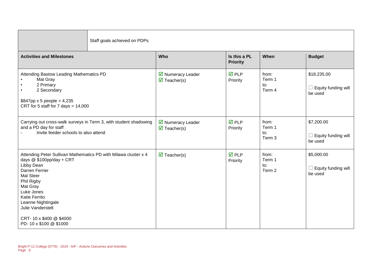| Staff goals achieved on PDPs                                                                                                                                                                                                                                                                      |                                                         |                                 |                                  |                                                        |  |
|---------------------------------------------------------------------------------------------------------------------------------------------------------------------------------------------------------------------------------------------------------------------------------------------------|---------------------------------------------------------|---------------------------------|----------------------------------|--------------------------------------------------------|--|
| <b>Activities and Milestones</b>                                                                                                                                                                                                                                                                  | Who                                                     | Is this a PL<br><b>Priority</b> | When                             | <b>Budget</b>                                          |  |
| Attending Bastow Leading Mathematics PD<br>Mat Gray<br>2 Primary<br>2 Secondary<br>\$847pp x 5 people = $4,235$<br>CRT for 5 staff for 7 days = $14,000$                                                                                                                                          | ■ Numeracy Leader<br>$\overline{\mathbf{M}}$ Teacher(s) | $\overline{M}$ PLP<br>Priority  | from:<br>Term 1<br>to:<br>Term 4 | \$18,235.00<br>Equity funding will<br>be used          |  |
| Carrying out cross-walk surveys in Term 3, with student shadowing<br>and a PD day for staff<br>Invite feeder schools to also attend                                                                                                                                                               | ■ Numeracy Leader<br>$\overline{\mathbf{M}}$ Teacher(s) | $\overline{M}$ PLP<br>Priority  | from:<br>Term 1<br>to:<br>Term 3 | \$7,200.00<br>Equity funding will<br>$\Box$<br>be used |  |
| Attending Peter Sullivan Mathematics PD with Milawa cluster x 4<br>days $@$100pp/day + CRT$<br>Libby Dean<br>Darren Ferrier<br>Mal Steer<br>Phil Rigby<br>Mat Gray<br>Luke Jones<br>Katie Ferrito<br>Leanne Nightingale<br>Julie Vanderstelt<br>CRT-10 x \$400 @ \$4000<br>PD-10 x \$100 @ \$1000 | $\overline{\mathbf{M}}$ Teacher(s)                      | $\overline{M}$ PLP<br>Priority  | from:<br>Term 1<br>to:<br>Term 2 | \$5,000.00<br>Equity funding will<br>be used           |  |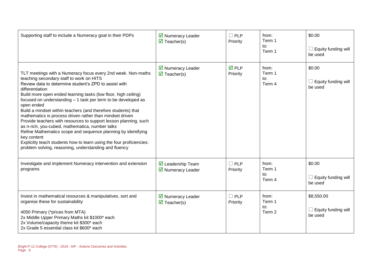| Supporting staff to include a Numeracy goal in their PDPs                                                                                                                                                                                                                                                                                                                                                                                                                                                                                                                                                                                                                                                                                                                                                  | ■ Numeracy Leader<br>$\overline{\mathbf{M}}$ Teacher(s)      | $\Box$ PLP<br>Priority   | from:<br>Term 1<br>to:<br>Term 1 | \$0.00<br>Equity funding will<br>be used     |
|------------------------------------------------------------------------------------------------------------------------------------------------------------------------------------------------------------------------------------------------------------------------------------------------------------------------------------------------------------------------------------------------------------------------------------------------------------------------------------------------------------------------------------------------------------------------------------------------------------------------------------------------------------------------------------------------------------------------------------------------------------------------------------------------------------|--------------------------------------------------------------|--------------------------|----------------------------------|----------------------------------------------|
| TLT meetings with a Numeracy focus every 2nd week. Non-maths<br>teaching secondary staff to work on HITS<br>Review data to determine student's ZPD to assist with<br>differentiation<br>Build more open ended learning tasks (low floor, high ceiling)<br>focused on understanding - 1 task per term to be developed as<br>open ended<br>Build a mindset within teachers (and therefore students) that<br>mathematics is process driven rather than mindset driven<br>Provide teachers with resources to support lesson planning, such<br>as n-rich, you-cubed, mathematica, number talks<br>Refine Mathematics scope and sequence planning by identifying<br>key content<br>Explicitly teach students how to learn using the four proficiencies:<br>problem solving, reasoning, understanding and fluency | ■ Numeracy Leader<br>$\overline{\mathbf{M}}$ Teacher(s)      | <b>☑</b> PLP<br>Priority | from:<br>Term 1<br>to:<br>Term 4 | \$0.00<br>Equity funding will<br>be used     |
| Investigate and implement Numeracy intervention and extension<br>programs                                                                                                                                                                                                                                                                                                                                                                                                                                                                                                                                                                                                                                                                                                                                  | $\overline{\mathbf{M}}$ Leadership Team<br>☑ Numeracy Leader | $\Box$ PLP<br>Priority   | from:<br>Term 1<br>to:<br>Term 4 | \$0.00<br>Equity funding will<br>be used     |
| Invest in mathematical resources & manipulatives, sort and<br>organise these for sustainability<br>4050 Primary (*prices from MTA)<br>2x Middle Upper Primary Maths kit \$1000* each<br>2x Volume/capacity theme kit \$300* each<br>2x Grade 5 essential class kit \$600* each                                                                                                                                                                                                                                                                                                                                                                                                                                                                                                                             | ■ Numeracy Leader<br>$\overline{\mathbf{M}}$ Teacher(s)      | $\Box$ PLP<br>Priority   | from:<br>Term 1<br>to:<br>Term 2 | \$8,550.00<br>Equity funding will<br>be used |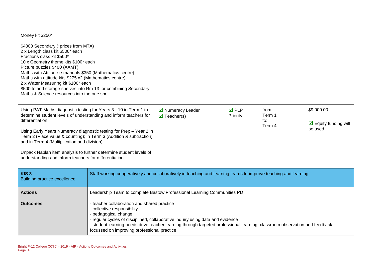| Money kit \$250*                                                                                                                                                                                                                                                                                                                                                                                                                                                                    |                                                                                                                                                                                                                                                                                                                                                                   |                                                         |                                |                                  |                                                               |
|-------------------------------------------------------------------------------------------------------------------------------------------------------------------------------------------------------------------------------------------------------------------------------------------------------------------------------------------------------------------------------------------------------------------------------------------------------------------------------------|-------------------------------------------------------------------------------------------------------------------------------------------------------------------------------------------------------------------------------------------------------------------------------------------------------------------------------------------------------------------|---------------------------------------------------------|--------------------------------|----------------------------------|---------------------------------------------------------------|
| \$4000 Secondary (*prices from MTA)<br>2 x Length class kit \$500* each<br>Fractions class kit \$500*<br>10 x Geometry theme kits \$100* each<br>Picture puzzles \$400 (AAMT)<br>Maths with Attitude e-manuals \$350 (Mathematics centre)<br>Maths with attitude kits \$275 x2 (Mathematics centre)<br>2 x Water Measuring kit \$100* each<br>\$500 to add storage shelves into Rm 13 for combining Secondary<br>Maths & Science resources into the one spot                        |                                                                                                                                                                                                                                                                                                                                                                   |                                                         |                                |                                  |                                                               |
| Using PAT-Maths diagnostic testing for Years 3 - 10 in Term 1 to<br>determine student levels of understanding and inform teachers for<br>differentiation<br>Using Early Years Numeracy diagnostic testing for Prep - Year 2 in<br>Term 2 (Place value & counting); in Term 3 (Addition & subtraction)<br>and in Term 4 (Multiplication and division)<br>Unpack Naplan item analysis to further determine student levels of<br>understanding and inform teachers for differentiation |                                                                                                                                                                                                                                                                                                                                                                   | ■ Numeracy Leader<br>$\overline{\mathbf{M}}$ Teacher(s) | $\overline{M}$ PLP<br>Priority | from:<br>Term 1<br>to:<br>Term 4 | \$9,000.00<br>$\triangleright$ Equity funding will<br>be used |
| KIS <sub>3</sub><br><b>Building practice excellence</b>                                                                                                                                                                                                                                                                                                                                                                                                                             | Staff working cooperatively and collaboratively in teaching and learning teams to improve teaching and learning.                                                                                                                                                                                                                                                  |                                                         |                                |                                  |                                                               |
| <b>Actions</b>                                                                                                                                                                                                                                                                                                                                                                                                                                                                      | Leadership Team to complete Bastow Professional Learning Communities PD                                                                                                                                                                                                                                                                                           |                                                         |                                |                                  |                                                               |
| <b>Outcomes</b>                                                                                                                                                                                                                                                                                                                                                                                                                                                                     | - teacher collaboration and shared practice<br>- collective responsibility<br>- pedagogical change<br>- regular cycles of disciplined, collaborative inquiry using data and evidence<br>- student learning needs drive teacher learning through targeted professional learning, classroom observation and feedback<br>focussed on improving professional practice |                                                         |                                |                                  |                                                               |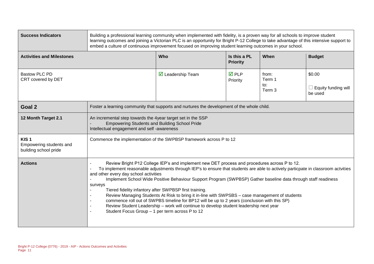| <b>Success Indicators</b>                                            | Building a professional learning community when implemented with fidelity, is a proven way for all schools to improve student<br>learning outcomes and joining a Victorian PLC is an opportunity for Bright P-12 College to take advantage of this intensive support to<br>embed a culture of continuous improvement focused on improving student learning outcomes in your school.                                                                                                                                                                                                                                                                                                                                                                                                                             |                                                                                                                                                                   |                                 |                                             |                                                 |
|----------------------------------------------------------------------|-----------------------------------------------------------------------------------------------------------------------------------------------------------------------------------------------------------------------------------------------------------------------------------------------------------------------------------------------------------------------------------------------------------------------------------------------------------------------------------------------------------------------------------------------------------------------------------------------------------------------------------------------------------------------------------------------------------------------------------------------------------------------------------------------------------------|-------------------------------------------------------------------------------------------------------------------------------------------------------------------|---------------------------------|---------------------------------------------|-------------------------------------------------|
| <b>Activities and Milestones</b>                                     |                                                                                                                                                                                                                                                                                                                                                                                                                                                                                                                                                                                                                                                                                                                                                                                                                 | Who                                                                                                                                                               | Is this a PL<br><b>Priority</b> | When                                        | <b>Budget</b>                                   |
| <b>Bastow PLC PD</b><br>CRT covered by DET                           |                                                                                                                                                                                                                                                                                                                                                                                                                                                                                                                                                                                                                                                                                                                                                                                                                 | $\triangleright$ Leadership Team                                                                                                                                  | <b>☑</b> PLP<br>Priority        | from:<br>Term 1<br>to:<br>Term <sub>3</sub> | \$0.00<br>$\Box$ Equity funding will<br>be used |
| Goal 2                                                               |                                                                                                                                                                                                                                                                                                                                                                                                                                                                                                                                                                                                                                                                                                                                                                                                                 | Foster a learning community that supports and nurtures the development of the whole child.                                                                        |                                 |                                             |                                                 |
| 12 Month Target 2.1                                                  |                                                                                                                                                                                                                                                                                                                                                                                                                                                                                                                                                                                                                                                                                                                                                                                                                 | An incremental step towards the 4year target set in the SSP<br><b>Empowering Students and Building School Pride</b><br>Intellectual engagement and self-awareness |                                 |                                             |                                                 |
| KIS <sub>1</sub><br>Empowering students and<br>building school pride |                                                                                                                                                                                                                                                                                                                                                                                                                                                                                                                                                                                                                                                                                                                                                                                                                 | Commence the implementation of the SWPBSP framework across P to 12                                                                                                |                                 |                                             |                                                 |
| <b>Actions</b>                                                       | Review Bright P12 College IEP's and implement new DET process and procedures across P to 12.<br>To implement reasonable adjustments through IEP's to ensure that students are able to actively particpate in classroom actvities<br>and other every day school activities<br>Implement School Wide Positive Behaviour Support Program (SWPBSP) Gather baseline data through staff readiness<br>surveys<br>Tiered fidelity infantory after SWPBSP first training.<br>Review Managing Students At Risk to bring it in-line with SWPSBS - case management of students<br>commence roll out of SWPBS timeline for BP12 will be up to 2 years (conclusion with this SP)<br>Review Student Leadership - work will continue to develop student leadership next year<br>Student Focus Group - 1 per term across P to 12 |                                                                                                                                                                   |                                 |                                             |                                                 |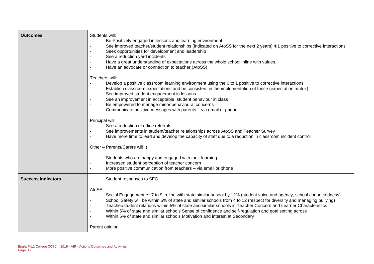| <b>Outcomes</b>           | Students will:<br>Be Positively engaged in lessons and learning environment<br>See improved teacher/student relationships (indicated on AtoSS for the next 2 years) 4:1 positive to corrective interactions<br>Seek opportunities for development and leadership<br>See a reduction yard incidents<br>Have a great understanding of expectations across the whole school inline with values.<br>Have an advocate or connection to teacher (AtoSS)                                                                                                                                                                                                                                                                                                                                                                                                                                  |
|---------------------------|------------------------------------------------------------------------------------------------------------------------------------------------------------------------------------------------------------------------------------------------------------------------------------------------------------------------------------------------------------------------------------------------------------------------------------------------------------------------------------------------------------------------------------------------------------------------------------------------------------------------------------------------------------------------------------------------------------------------------------------------------------------------------------------------------------------------------------------------------------------------------------|
|                           | Teachers will:<br>Develop a positive classroom learning environment using the 6 to 1 positive to corrective interactions<br>Establish classroom expectations and be consistent in the implementation of these (expectation matrix)<br>See improved student engagement in lessons<br>See an improvement in acceptable student behaviour in class<br>Be empowered to manage minor behavioural concerns<br>Communicate positive messages with parents - via email or phone<br>Principal will:<br>See a reduction of office referrals<br>See improvements in student/teacher relationships across AtoSS and Teacher Survey<br>Have more time to lead and develop the capacity of staff due to a reduction in classroom incident control<br>Other - Parents/Carers will :)<br>Students who are happy and engaged with their learning<br>Increased student perception of teacher concern |
|                           | More positive communication from teachers - via email or phone                                                                                                                                                                                                                                                                                                                                                                                                                                                                                                                                                                                                                                                                                                                                                                                                                     |
| <b>Success Indicators</b> | Student responses to SFG<br>AtoSS<br>Social Engagement Yr 7 to 9 in-line with state similar school by 12% (student voice and agency, school connectedness)<br>School Safety will be within 5% of state and similar schools from 4 to 12 (respect for diversity and managing bullying)<br>Teacher/student relations within 5% of state and similar schools in Teacher Concern and Learner Characteristics<br>Within 5% of state and similar schools Sense of confidence and self-regulation and goal setting across<br>Within 5% of state and similar schools Motivation and interest at Secondary<br>Parent opinion                                                                                                                                                                                                                                                                |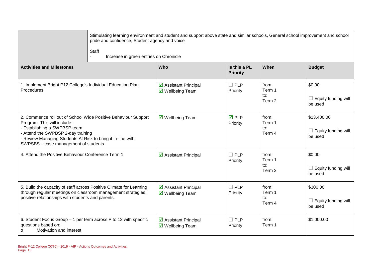| Staff                                                                                                                                                                                                                                                                      | Stimulating learning environment and student and support above state and similar schools, General school improvement and school<br>pride and confidence, Student agency and voice<br>Increase in green entries on Chronicle |                                 |                                  |                                                      |  |  |  |
|----------------------------------------------------------------------------------------------------------------------------------------------------------------------------------------------------------------------------------------------------------------------------|-----------------------------------------------------------------------------------------------------------------------------------------------------------------------------------------------------------------------------|---------------------------------|----------------------------------|------------------------------------------------------|--|--|--|
| <b>Activities and Milestones</b>                                                                                                                                                                                                                                           | <b>Who</b>                                                                                                                                                                                                                  | Is this a PL<br><b>Priority</b> | When                             | <b>Budget</b>                                        |  |  |  |
| 1. Implement Bright P12 College's Individual Education Plan<br>Procedures                                                                                                                                                                                                  | ☑ Assistant Principal<br>$\overline{\mathbf{M}}$ Wellbeing Team                                                                                                                                                             | $\square$ PLP<br>Priority       | from:<br>Term 1<br>to:<br>Term 2 | \$0.00<br>$\Box$ Equity funding will<br>be used      |  |  |  |
| 2. Commence roll out of School Wide Positive Behaviour Support<br>Program. This will include:<br>- Establishing a SWPBSP team<br>- Attend the SWPBSP 2-day training<br>- Review Managing Students At Risk to bring it in-line with<br>SWPSBS - case management of students | $\overline{\mathbf{M}}$ Wellbeing Team                                                                                                                                                                                      | $\overline{M}$ PLP<br>Priority  | from:<br>Term 1<br>to:<br>Term 4 | \$13,400.00<br>$\Box$ Equity funding will<br>be used |  |  |  |
| 4. Attend the Positive Behaviour Conference Term 1                                                                                                                                                                                                                         | $\boxtimes$ Assistant Principal                                                                                                                                                                                             | $\Box$ PLP<br>Priority          | from:<br>Term 1<br>to:<br>Term 2 | \$0.00<br>$\Box$ Equity funding will<br>be used      |  |  |  |
| 5. Build the capacity of staff across Positive Climate for Learning<br>through regular meetings on classroom management strategies,<br>positive relationships with students and parents.                                                                                   | ☑ Assistant Principal<br>$\overline{\mathbf{M}}$ Wellbeing Team                                                                                                                                                             | $\Box$ PLP<br>Priority          | from:<br>Term 1<br>to:<br>Term 4 | \$300.00<br>$\Box$ Equity funding will<br>be used    |  |  |  |
| 6. Student Focus Group - 1 per term across P to 12 with specific<br>questions based on:<br>Motivation and interest<br>o                                                                                                                                                    | ☑ Assistant Principal<br>$\overline{\mathbf{M}}$ Wellbeing Team                                                                                                                                                             | $\Box$ PLP<br>Priority          | from:<br>Term 1                  | \$1,000.00                                           |  |  |  |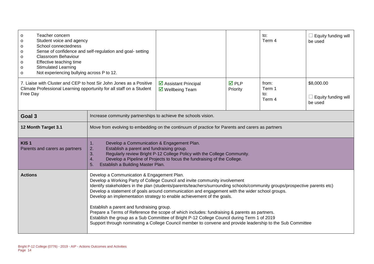| Teacher concern<br>O<br>Student voice and agency<br>0<br>School connectedness<br>o<br>Sense of confidence and self-regulation and goal- setting<br>o<br>Classroom Behaviour<br>o<br>Effective teaching time<br>o<br><b>Stimulated Learning</b><br>o<br>Not experiencing bullying across P to 12.<br>$\mathsf{o}$ |                                                                                                                                                                                                                                                                                                                                                                                                                                                                                                                                                                                                                                                                                                                                                                                               |                                                                                                                                                                                                                                                                                    |                                | to:<br>Term 4                    | $\Box$ Equity funding will<br>be used               |  |  |
|------------------------------------------------------------------------------------------------------------------------------------------------------------------------------------------------------------------------------------------------------------------------------------------------------------------|-----------------------------------------------------------------------------------------------------------------------------------------------------------------------------------------------------------------------------------------------------------------------------------------------------------------------------------------------------------------------------------------------------------------------------------------------------------------------------------------------------------------------------------------------------------------------------------------------------------------------------------------------------------------------------------------------------------------------------------------------------------------------------------------------|------------------------------------------------------------------------------------------------------------------------------------------------------------------------------------------------------------------------------------------------------------------------------------|--------------------------------|----------------------------------|-----------------------------------------------------|--|--|
| 7. Liaise with Cluster and CEP to host Sir John Jones as a Positive<br>Climate Professional Learning opportunity for all staff on a Student<br>Free Day                                                                                                                                                          |                                                                                                                                                                                                                                                                                                                                                                                                                                                                                                                                                                                                                                                                                                                                                                                               | $\triangleright$ Assistant Principal<br>$\overline{\mathbf{M}}$ Wellbeing Team                                                                                                                                                                                                     | $\overline{M}$ PLP<br>Priority | from:<br>Term 1<br>to:<br>Term 4 | \$8,000.00<br>$\Box$ Equity funding will<br>be used |  |  |
| Goal 3                                                                                                                                                                                                                                                                                                           |                                                                                                                                                                                                                                                                                                                                                                                                                                                                                                                                                                                                                                                                                                                                                                                               | Increase community partnerships to achieve the schools vision.                                                                                                                                                                                                                     |                                |                                  |                                                     |  |  |
| 12 Month Target 3.1                                                                                                                                                                                                                                                                                              |                                                                                                                                                                                                                                                                                                                                                                                                                                                                                                                                                                                                                                                                                                                                                                                               | Move from evolving to embedding on the continuum of practice for Parents and carers as partners                                                                                                                                                                                    |                                |                                  |                                                     |  |  |
| KIS <sub>1</sub><br>Parents and carers as partners                                                                                                                                                                                                                                                               | 1.<br>2.<br>3.<br>4.<br>5.                                                                                                                                                                                                                                                                                                                                                                                                                                                                                                                                                                                                                                                                                                                                                                    | Develop a Communication & Engagement Plan.<br>Establish a parent and fundraising group.<br>Regularly review Bright P-12 College Policy with the College Community.<br>Develop a Pipeline of Projects to focus the fundraising of the College.<br>Establish a Building Master Plan. |                                |                                  |                                                     |  |  |
| <b>Actions</b>                                                                                                                                                                                                                                                                                                   | Develop a Communication & Engagement Plan.<br>Develop a Working Party of College Council and invite community involvement<br>Identify stakeholders in the plan (students/parents/teachers/surrounding schools/community groups/prospective parents etc)<br>Develop a statement of goals around communication and engagement with the wider school groups.<br>Develop an implementation strategy to enable achievement of the goals.<br>Establish a parent and fundraising group.<br>Prepare a Terms of Reference the scope of which includes: fundraising & parents as partners.<br>Establish the group as a Sub Committee of Bright P-12 College Council during Term 1 of 2019<br>Support through nominating a College Council member to convene and provide leadership to the Sub Committee |                                                                                                                                                                                                                                                                                    |                                |                                  |                                                     |  |  |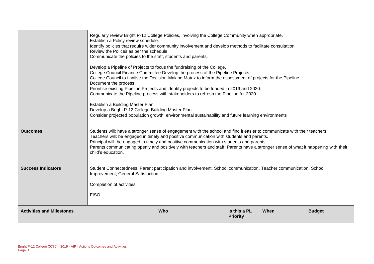|                                  | Regularly review Bright P-12 College Policies, involving the College Community when appropriate.<br>Establish a Policy review schedule.<br>Identify policies that require wider community involvement and develop methods to facilitate consultation<br>Review the Polices as per the schedule<br>Communicate the policies to the staff, students and parents.<br>Develop a Pipeline of Projects to focus the fundraising of the College.<br>College Council Finance Committee Develop the process of the Pipeline Projects<br>College Council to finalise the Decision-Making Matrix to inform the assessment of projects for the Pipeline.<br>Document the process.<br>Prioritise existing Pipeline Projects and identify projects to be funded in 2019 and 2020.<br>Communicate the Pipeline process with stakeholders to refresh the Pipeline for 2020.<br>Establish a Building Master Plan.<br>Develop a Bright P-12 College Building Master Plan<br>Consider projected population growth, environmental sustainability and future learning environments |     |                                 |      |               |  |
|----------------------------------|---------------------------------------------------------------------------------------------------------------------------------------------------------------------------------------------------------------------------------------------------------------------------------------------------------------------------------------------------------------------------------------------------------------------------------------------------------------------------------------------------------------------------------------------------------------------------------------------------------------------------------------------------------------------------------------------------------------------------------------------------------------------------------------------------------------------------------------------------------------------------------------------------------------------------------------------------------------------------------------------------------------------------------------------------------------|-----|---------------------------------|------|---------------|--|
| <b>Outcomes</b>                  | Students will: have a stronger sense of engagement with the school and find it easier to communicate with their teachers.<br>Teachers will: be engaged in timely and positive communication with students and parents.<br>Principal will: be engaged in timely and positive communication with students and parents.<br>Parents communicating openly and positively with teachers and staff. Parents have a stronger sense of what it happening with their<br>child's education.                                                                                                                                                                                                                                                                                                                                                                                                                                                                                                                                                                              |     |                                 |      |               |  |
| <b>Success Indicators</b>        | Student Connectedness, Parent participation and involvement, School communication, Teacher communication, School<br>Improvement, General Satisfaction<br>Completion of activities<br><b>FISO</b>                                                                                                                                                                                                                                                                                                                                                                                                                                                                                                                                                                                                                                                                                                                                                                                                                                                              |     |                                 |      |               |  |
| <b>Activities and Milestones</b> |                                                                                                                                                                                                                                                                                                                                                                                                                                                                                                                                                                                                                                                                                                                                                                                                                                                                                                                                                                                                                                                               | Who | Is this a PL<br><b>Priority</b> | When | <b>Budget</b> |  |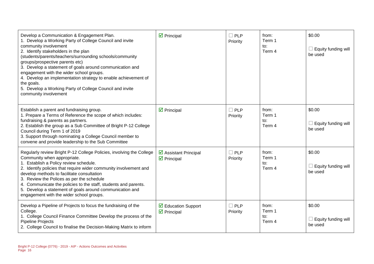| Develop a Communication & Engagement Plan.<br>1. Develop a Working Party of College Council and invite<br>community involvement<br>2. Identify stakeholders in the plan<br>(students/parents/teachers/surrounding schools/community<br>groups/prospective parents etc)<br>3. Develop a statement of goals around communication and<br>engagement with the wider school groups.<br>4. Develop an implementation strategy to enable achievement of<br>the goals.<br>5. Develop a Working Party of College Council and invite<br>community involvement | $\overline{\mathbf{y}}$ Principal                               | $\Box$ PLP<br>Priority | from:<br>Term 1<br>to:<br>Term 4 | \$0.00<br>Equity funding will<br>be used |
|-----------------------------------------------------------------------------------------------------------------------------------------------------------------------------------------------------------------------------------------------------------------------------------------------------------------------------------------------------------------------------------------------------------------------------------------------------------------------------------------------------------------------------------------------------|-----------------------------------------------------------------|------------------------|----------------------------------|------------------------------------------|
| Establish a parent and fundraising group.<br>1. Prepare a Terms of Reference the scope of which includes:<br>fundraising & parents as partners.<br>2. Establish the group as a Sub Committee of Bright P-12 College<br>Council during Term 1 of 2019<br>3. Support through nominating a College Council member to<br>convene and provide leadership to the Sub Committee                                                                                                                                                                            | $\triangleright$ Principal                                      | $\Box$ PLP<br>Priority | from:<br>Term 1<br>to:<br>Term 4 | \$0.00<br>Equity funding will<br>be used |
| Regularly review Bright P-12 College Policies, involving the College<br>Community when appropriate.<br>1. Establish a Policy review schedule.<br>2. Identify policies that require wider community involvement and<br>develop methods to facilitate consultation<br>3. Review the Polices as per the schedule<br>4. Communicate the policies to the staff, students and parents.<br>5. Develop a statement of goals around communication and<br>engagement with the wider school groups.                                                            | ☑ Assistant Principal<br>$\overline{\mathbf{y}}$ Principal      | $\Box$ PLP<br>Priority | from:<br>Term 1<br>to:<br>Term 4 | \$0.00<br>Equity funding will<br>be used |
| Develop a Pipeline of Projects to focus the fundraising of the<br>College.<br>1. College Council Finance Committee Develop the process of the<br><b>Pipeline Projects</b><br>2. College Council to finalise the Decision-Making Matrix to inform                                                                                                                                                                                                                                                                                                    | $\triangleright$ Education Support<br>$\triangledown$ Principal | $\Box$ PLP<br>Priority | from:<br>Term 1<br>to:<br>Term 4 | \$0.00<br>Equity funding will<br>be used |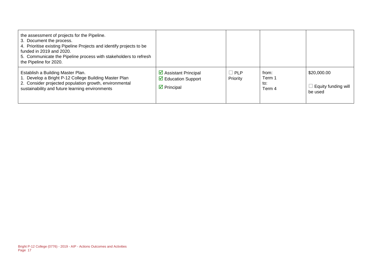| the assessment of projects for the Pipeline.<br>3. Document the process.<br>4. Prioritise existing Pipeline Projects and identify projects to be<br>funded in 2019 and 2020.<br>5. Communicate the Pipeline process with stakeholders to refresh<br>the Pipeline for 2020. |                                                                                                                |                        |                                  |                                               |
|----------------------------------------------------------------------------------------------------------------------------------------------------------------------------------------------------------------------------------------------------------------------------|----------------------------------------------------------------------------------------------------------------|------------------------|----------------------------------|-----------------------------------------------|
| Establish a Building Master Plan.<br>1. Develop a Bright P-12 College Building Master Plan<br>2. Consider projected population growth, environmental<br>sustainability and future learning environments                                                                    | $\triangleright$ Assistant Principal<br>$\triangledown$ Education Support<br>$\overline{\mathbf{y}}$ Principal | $\Box$ PLP<br>Priority | from:<br>Term 1<br>to:<br>Term 4 | \$20,000.00<br>Equity funding will<br>be used |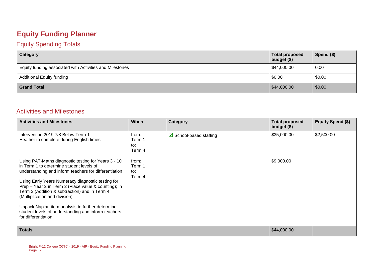#### **Equity Funding Planner**

#### Equity Spending Totals

| Category                                                 | <b>Total proposed</b><br>budget (\$) | Spend (\$) |
|----------------------------------------------------------|--------------------------------------|------------|
| Equity funding associated with Activities and Milestones | \$44,000.00                          | 0.00       |
| <b>Additional Equity funding</b>                         | \$0.00                               | \$0.00     |
| <b>Grand Total</b>                                       | \$44,000.00                          | \$0.00     |

#### Activities and Milestones

| <b>Activities and Milestones</b>                                                                                                                                                                                                                                                                                                                                                                                                                                                          | When                             | Category                          | <b>Total proposed</b><br>budget (\$) | <b>Equity Spend (\$)</b> |
|-------------------------------------------------------------------------------------------------------------------------------------------------------------------------------------------------------------------------------------------------------------------------------------------------------------------------------------------------------------------------------------------------------------------------------------------------------------------------------------------|----------------------------------|-----------------------------------|--------------------------------------|--------------------------|
| Intervention 2019 7/8 Below Term 1<br>Heather to complete during English times                                                                                                                                                                                                                                                                                                                                                                                                            | from:<br>Term 1<br>to:<br>Term 4 | $\boxtimes$ School-based staffing | \$35,000.00                          | \$2,500.00               |
| Using PAT-Maths diagnostic testing for Years 3 - 10<br>in Term 1 to determine student levels of<br>understanding and inform teachers for differentiation<br>Using Early Years Numeracy diagnostic testing for<br>Prep - Year 2 in Term 2 (Place value & counting); in<br>Term 3 (Addition & subtraction) and in Term 4<br>(Multiplication and division)<br>Unpack Naplan item analysis to further determine<br>student levels of understanding and inform teachers<br>for differentiation | from:<br>Term 1<br>to:<br>Term 4 |                                   | \$9,000.00                           |                          |
| <b>Totals</b>                                                                                                                                                                                                                                                                                                                                                                                                                                                                             |                                  |                                   | \$44,000.00                          |                          |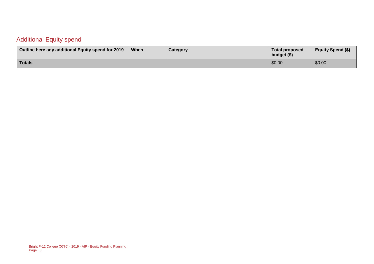#### Additional Equity spend

| Outline here any additional Equity spend for 2019 | When | <b>Category</b> | <b>Total proposed</b><br>budget (\$) | <b>Equity Spend (\$)</b> |
|---------------------------------------------------|------|-----------------|--------------------------------------|--------------------------|
| Totals                                            |      |                 | \$0.00                               | \$0.00                   |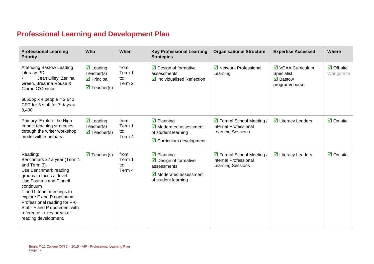### **Professional Learning and Development Plan**

| <b>Professional Learning</b><br><b>Priority</b>                                                                                                                                                                                                                                                                                    | Who                                                                                                                      | When                                        | <b>Key Professional Learning</b><br><b>Strategies</b>                                                                                                   | <b>Organisational Structure</b>                                                | <b>Expertise Accessed</b>                                                                     | Where                                    |
|------------------------------------------------------------------------------------------------------------------------------------------------------------------------------------------------------------------------------------------------------------------------------------------------------------------------------------|--------------------------------------------------------------------------------------------------------------------------|---------------------------------------------|---------------------------------------------------------------------------------------------------------------------------------------------------------|--------------------------------------------------------------------------------|-----------------------------------------------------------------------------------------------|------------------------------------------|
| <b>Attending Bastow Leading</b><br>Literacy PD<br>Jean Olley, Zerlina<br>Green, Breanna Rouse &<br>Ciaran O'Connor<br>$$660$ pp x 4 people = 2,640<br>CRT for 3 staff for 7 days $=$<br>8,400                                                                                                                                      | $\overline{\mathbf{z}}$ Leading<br>Teacher(s)<br>$\overline{\mathbf{z}}$ Principal<br>$\overline{\mathbf{z}}$ Teacher(s) | from:<br>Term 1<br>to:<br>Term 2            | $\triangleright$ Design of formative<br>assessments<br>$\triangledown$ Individualised Reflection                                                        | $\boxtimes$ Network Professional<br>Learning                                   | $\boxtimes$ VCAA Curriculum<br>Specialist<br>$\overline{\mathbf{M}}$ Bastow<br>program/course | $\overline{\Box}$ Off-site<br>Wangaratta |
| Primary: Explore the High<br>Impact teaching strategies<br>through the writer workshop<br>model within primary.                                                                                                                                                                                                                    | $\overline{\mathbf{z}}$ Leading<br>Teacher(s)<br>$\overline{\mathbf{M}}$ Teacher(s)                                      | from:<br>Term 1<br>to:<br>Term 4            | $\boxtimes$ Planning<br>$\triangledown$ Moderated assessment<br>of student learning<br>$\triangleright$ Curriculum development                          | ☑ Formal School Meeting /<br><b>Internal Professional</b><br>Learning Sessions | $\triangleright$ Literacy Leaders                                                             | $\overline{\mathbf{z}}$ On-site          |
| Reading:<br>Benchmark x2 a year (Term 1<br>and Term 3).<br>Use Benchmark reading<br>groups to focus at level<br>Use Fountas and Pinnell<br>continuum<br>T and L team meetings to<br>explore F and P continuum<br>Professional reading for P-6<br>Staff- F and P document with<br>reference to key areas of<br>reading development. | $\overline{\mathbf{M}}$ Teacher(s)                                                                                       | from:<br>Term 1<br>$\mathsf{to}:$<br>Term 4 | $\overline{\mathbf{z}}$ Planning<br>$\triangleright$ Design of formative<br>assessments<br>$\triangleright$ Moderated assessment<br>of student learning | ☑ Formal School Meeting /<br><b>Internal Professional</b><br>Learning Sessions | $\overline{\mathbf{y}}$ Literacy Leaders                                                      | $\overline{\mathsf{M}}$ On-site          |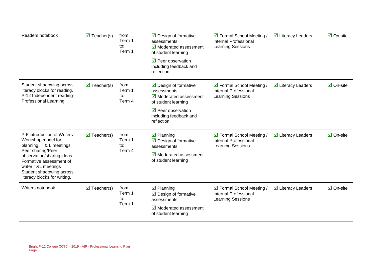| Readers notebook                                                                                                                                                                                                                              | $\overline{\mathbf{M}}$ Teacher(s) | from:<br>Term 1<br>to:<br>Term 1 | $\triangleright$ Design of formative<br>assessments<br>$\overline{\mathbf{y}}$ Moderated assessment<br>of student learning<br>$\sqrt{2}$ Peer observation<br>including feedback and<br>reflection | ☑ Formal School Meeting /<br><b>Internal Professional</b><br><b>Learning Sessions</b> | $\triangleright$ Literacy Leaders        | $\overline{\mathsf{M}}$ On-site |
|-----------------------------------------------------------------------------------------------------------------------------------------------------------------------------------------------------------------------------------------------|------------------------------------|----------------------------------|---------------------------------------------------------------------------------------------------------------------------------------------------------------------------------------------------|---------------------------------------------------------------------------------------|------------------------------------------|---------------------------------|
| Student shadowing across<br>literacy blocks for reading.<br>P-12 Independent reading-<br><b>Professional Learning</b>                                                                                                                         | $\overline{\mathbf{M}}$ Teacher(s) | from:<br>Term 1<br>to:<br>Term 4 | $\triangleright$ Design of formative<br>assessments<br>$\boxtimes$ Moderated assessment<br>of student learning<br>$\triangledown$ Peer observation<br>including feedback and<br>reflection        | ☑ Formal School Meeting /<br><b>Internal Professional</b><br>Learning Sessions        | $\overline{\mathbf{y}}$ Literacy Leaders | $\overline{\mathsf{M}}$ On-site |
| P-6 introduction of Writers<br>Workshop model for<br>planning. T & L meetings<br>Peer sharing/Peer<br>observation/sharing ideas<br>Formative assessment of<br>writer T&L meetings<br>Student shadowing across<br>literacy blocks for writing. | $\overline{\mathbf{M}}$ Teacher(s) | from:<br>Term 1<br>to:<br>Term 4 | $\overline{\mathbf{z}}$ Planning<br>$\triangleright$ Design of formative<br>assessments<br>$\sqrt{2}$ Moderated assessment<br>of student learning                                                 | ☑ Formal School Meeting /<br>Internal Professional<br>Learning Sessions               | $\triangleright$ Literacy Leaders        | $\overline{\mathsf{M}}$ On-site |
| Writers notebook                                                                                                                                                                                                                              | $\overline{\mathbf{M}}$ Teacher(s) | from:<br>Term 1<br>to:<br>Term 1 | $\overline{\mathbf{y}}$ Planning<br>$\triangleright$ Design of formative<br>assessments<br>$\overline{\mathbf{y}}$ Moderated assessment<br>of student learning                                    | ☑ Formal School Meeting /<br><b>Internal Professional</b><br>Learning Sessions        | $\overline{\mathbf{y}}$ Literacy Leaders | $\overline{\mathsf{M}}$ On-site |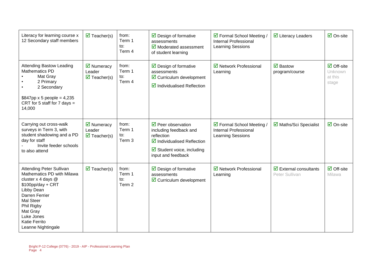| Literacy for learning course x<br>12 Secondary staff members                                                                                                                                                                                               | $\overline{\mathbf{M}}$ Teacher(s)                                               | from:<br>Term 1<br>to:<br>Term 4 | $\triangleright$ Design of formative<br>assessments<br>$\overline{\mathbf{y}}$ Moderated assessment<br>of student learning                                                      | ☑ Formal School Meeting /<br><b>Internal Professional</b><br>Learning Sessions        | $\overline{\mathbf{y}}$ Literacy Leaders                       | $\overline{\mathsf{M}}$ On-site                                  |
|------------------------------------------------------------------------------------------------------------------------------------------------------------------------------------------------------------------------------------------------------------|----------------------------------------------------------------------------------|----------------------------------|---------------------------------------------------------------------------------------------------------------------------------------------------------------------------------|---------------------------------------------------------------------------------------|----------------------------------------------------------------|------------------------------------------------------------------|
| <b>Attending Bastow Leading</b><br><b>Mathematics PD</b><br>Mat Gray<br>2 Primary<br>2 Secondary<br>$$847$ pp x 5 people = 4,235<br>CRT for 5 staff for 7 days $=$<br>14,000                                                                               | $\overline{\mathbf{M}}$ Numeracy<br>Leader<br>$\overline{\mathbf{M}}$ Teacher(s) | from:<br>Term 1<br>to:<br>Term 4 | $\triangleright$ Design of formative<br>assessments<br>$\boxdot$ Curriculum development<br>$\boxtimes$ Individualised Reflection                                                | ☑ Network Professional<br>Learning                                                    | $\overline{\mathbf{M}}$ Bastow<br>program/course               | $\overline{\Box}$ Off-site<br><b>Unknown</b><br>at this<br>stage |
| Carrying out cross-walk<br>surveys in Term 3, with<br>student shadowing and a PD<br>day for staff<br>Invite feeder schools<br>to also attend                                                                                                               | $\triangledown$ Numeracy<br>Leader<br>$\triangledown$ Teacher(s)                 | from:<br>Term 1<br>to:<br>Term 3 | $\triangledown$ Peer observation<br>including feedback and<br>reflection<br>$\boxtimes$ Individualised Reflection<br>$\boxtimes$ Student voice, including<br>input and feedback | ☑ Formal School Meeting /<br><b>Internal Professional</b><br><b>Learning Sessions</b> | ■ Maths/Sci Specialist                                         | $\overline{\mathbf{M}}$ On-site                                  |
| <b>Attending Peter Sullivan</b><br>Mathematics PD with Milawa<br>cluster x 4 days @<br>$$100pp/day + CRT$<br>Libby Dean<br><b>Darren Ferrier</b><br><b>Mal Steer</b><br>Phil Rigby<br>Mat Gray<br>Luke Jones<br><b>Katie Ferrito</b><br>Leanne Nightingale | $\overline{\mathbf{M}}$ Teacher(s)                                               | from:<br>Term 1<br>to:<br>Term 2 | $\triangleright$ Design of formative<br>assessments<br>$\boxdot$ Curriculum development                                                                                         | ☑ Network Professional<br>Learning                                                    | $\overline{\mathbf{z}}$ External consultants<br>Peter Sullivan | $\overline{\blacksquare}$ Off-site<br>Milawa                     |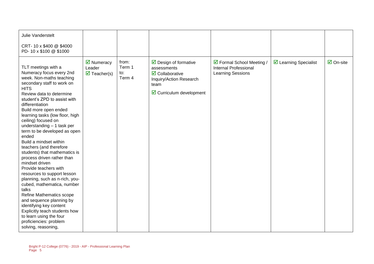| Julie Vanderstelt                                                                                                                                                                                                                                                                                                                                                                                                                                                                                                                                                                                                                                                                                                                                                                                                                        |                                                            |                                  |                                                                                                                                                                       |                                                                         |                               |                                 |
|------------------------------------------------------------------------------------------------------------------------------------------------------------------------------------------------------------------------------------------------------------------------------------------------------------------------------------------------------------------------------------------------------------------------------------------------------------------------------------------------------------------------------------------------------------------------------------------------------------------------------------------------------------------------------------------------------------------------------------------------------------------------------------------------------------------------------------------|------------------------------------------------------------|----------------------------------|-----------------------------------------------------------------------------------------------------------------------------------------------------------------------|-------------------------------------------------------------------------|-------------------------------|---------------------------------|
| CRT-10 x \$400 @ \$4000<br>PD-10 x \$100 @ \$1000                                                                                                                                                                                                                                                                                                                                                                                                                                                                                                                                                                                                                                                                                                                                                                                        |                                                            |                                  |                                                                                                                                                                       |                                                                         |                               |                                 |
| TLT meetings with a<br>Numeracy focus every 2nd<br>week. Non-maths teaching<br>secondary staff to work on<br><b>HITS</b><br>Review data to determine<br>student's ZPD to assist with<br>differentiation<br>Build more open ended<br>learning tasks (low floor, high<br>ceiling) focused on<br>understanding - 1 task per<br>term to be developed as open<br>ended<br>Build a mindset within<br>teachers (and therefore<br>students) that mathematics is<br>process driven rather than<br>mindset driven<br>Provide teachers with<br>resources to support lesson<br>planning, such as n-rich, you-<br>cubed, mathematica, number<br>talks<br>Refine Mathematics scope<br>and sequence planning by<br>identifying key content<br>Explicitly teach students how<br>to learn using the four<br>proficiencies: problem<br>solving, reasoning, | ☑ Numeracy<br>Leader<br>$\overline{\mathbf{M}}$ Teacher(s) | from:<br>Term 1<br>to:<br>Term 4 | $\triangleright$ Design of formative<br>assessments<br>$\overline{\mathbf{z}}$ Collaborative<br>Inquiry/Action Research<br>team<br>$\boxtimes$ Curriculum development | ☑ Formal School Meeting /<br>Internal Professional<br>Learning Sessions | $\boxdot$ Learning Specialist | $\overline{\mathbf{M}}$ On-site |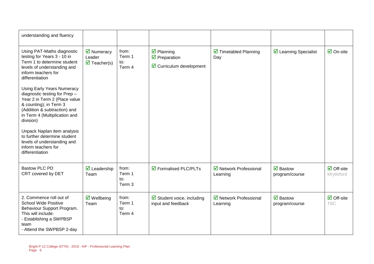| understanding and fluency                                                                                                                                                                                                                                                                                                                                                                                                                                                                                                |                                                                          |                                             |                                                                                                       |                                            |                                                  |                                          |
|--------------------------------------------------------------------------------------------------------------------------------------------------------------------------------------------------------------------------------------------------------------------------------------------------------------------------------------------------------------------------------------------------------------------------------------------------------------------------------------------------------------------------|--------------------------------------------------------------------------|---------------------------------------------|-------------------------------------------------------------------------------------------------------|--------------------------------------------|--------------------------------------------------|------------------------------------------|
| Using PAT-Maths diagnostic<br>testing for Years 3 - 10 in<br>Term 1 to determine student<br>levels of understanding and<br>inform teachers for<br>differentiation<br><b>Using Early Years Numeracy</b><br>diagnostic testing for Prep -<br>Year 2 in Term 2 (Place value<br>& counting); in Term 3<br>(Addition & subtraction) and<br>in Term 4 (Multiplication and<br>division)<br>Unpack Naplan item analysis<br>to further determine student<br>levels of understanding and<br>inform teachers for<br>differentiation | $\overline{\mathbf{M}}$ Numeracy<br>Leader<br>$\triangledown$ Teacher(s) | from:<br>Term 1<br>to:<br>Term 4            | $\overline{\mathbf{y}}$ Planning<br>$\triangledown$ Preparation<br>$\boxtimes$ Curriculum development | $\triangledown$ Timetabled Planning<br>Day | ☑ Learning Specialist                            | $\overline{\mathsf{M}}$ On-site          |
| <b>Bastow PLC PD</b><br>CRT covered by DET                                                                                                                                                                                                                                                                                                                                                                                                                                                                               | $\triangleright$ Leadership<br>Team                                      | from:<br>Term 1<br>to:<br>Term <sub>3</sub> | $\sqrt{2}$ Formalised PLC/PLTs                                                                        | ☑ Network Professional<br>Learning         | $\overline{\mathbf{M}}$ Bastow<br>program/course | $\boxdot$ Off-site<br>Mrytleford         |
| 2. Commence roll out of<br><b>School Wide Positive</b><br>Behaviour Support Program.<br>This will include:<br>- Establishing a SWPBSP<br>team<br>- Attend the SWPBSP 2-day                                                                                                                                                                                                                                                                                                                                               | $\triangledown$ Wellbeing<br>Team                                        | from:<br>Term 1<br>to:<br>Term 4            | $\boxtimes$ Student voice, including<br>input and feedback                                            | ☑ Network Professional<br>Learning         | $\overline{\mathbf{M}}$ Bastow<br>program/course | $\overline{\Box}$ Off-site<br><b>TBC</b> |